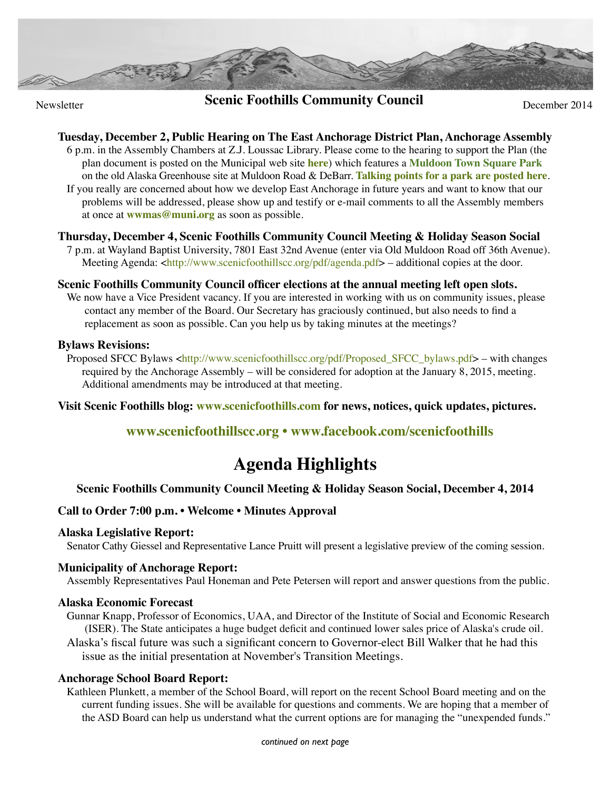

# **Scenic Foothills Community Council** December 2014

# **Tuesday, December 2, Public Hearing on The East Anchorage District Plan, Anchorage Assembly**

6 p.m. in the Assembly Chambers at Z.J. Loussac Library. Please come to the hearing to support the Plan (the plan document is posted on the Municipal web site **[here](http://www.muni.org/Departments/OCPD/Planning/Projects/Pages/EastAnchorageDistrictPlan.aspx)**) which features a **[Muldoon Town Square Park](http://ilovemuldoon.com/blog/parks/)** on the old Alaska Greenhouse site at Muldoon Road & DeBarr. **[Talking points for a park are posted here](http://ilovemuldoon.com/pdf/140913_MTSP_flyer_color.pdf)**. If you really are concerned about how we develop East Anchorage in future years and want to know that our problems will be addressed, please show up and testify or e-mail comments to all the Assembly members at once at **[wwmas@muni.org](mailto:wwmas@muni.org)** as soon as possible.

# **Thursday, December 4, Scenic Foothills Community Council Meeting & Holiday Season Social**

7 p.m. at Wayland Baptist University, 7801 East 32nd Avenue (enter via Old Muldoon Road off 36th Avenue). Meeting Agenda: [<http://www.scenicfoothillscc.org/pdf/agenda.pdf>](http://www.scenicfoothillscc.org/pdf/agenda.pdf) – additional copies at the door.

## **Scenic Foothills Community Council officer elections at the annual meeting left open slots.**

We now have a Vice President vacancy. If you are interested in working with us on community issues, please contact any member of the Board. Our Secretary has graciously continued, but also needs to find a replacement as soon as possible. Can you help us by taking minutes at the meetings?

#### **Bylaws Revisions:**

Proposed SFCC Bylaws <http://www.scenicfoothillscc.org/pdf/Proposed SFCC bylaws.pdf> – with changes required by the Anchorage Assembly – will be considered for adoption at the January 8, 2015, meeting. Additional amendments may be introduced at that meeting.

**Visit Scenic Foothills blog: [www.scenicfoothills.com](http://www.scenicfoothills.com) for news, notices, quick updates, pictures.**

# **[www.scenicfoothillscc.org](http://www.scenicfoothillscc.org) • [www.facebook.com/scenicfoothills](http://www.facebook.com/scenicfoothills)**

# **Agenda Highlights**

# **Scenic Foothills Community Council Meeting & Holiday Season Social, December 4, 2014**

## **Call to Order 7:00 p.m. • Welcome • Minutes Approval**

## **Alaska Legislative Report:**

Senator Cathy Giessel and Representative Lance Pruitt will present a legislative preview of the coming session.

## **Municipality of Anchorage Report:**

Assembly Representatives Paul Honeman and Pete Petersen will report and answer questions from the public.

#### **Alaska Economic Forecast**

Gunnar Knapp, Professor of Economics, UAA, and Director of the Institute of Social and Economic Research (ISER). The State anticipates a huge budget deficit and continued lower sales price of Alaska's crude oil.

Alaska's fiscal future was such a significant concern to Governor-elect Bill Walker that he had this issue as the initial presentation at November's Transition Meetings.

#### **Anchorage School Board Report:**

Kathleen Plunkett, a member of the School Board, will report on the recent School Board meeting and on the current funding issues. She will be available for questions and comments. We are hoping that a member of the ASD Board can help us understand what the current options are for managing the "unexpended funds."